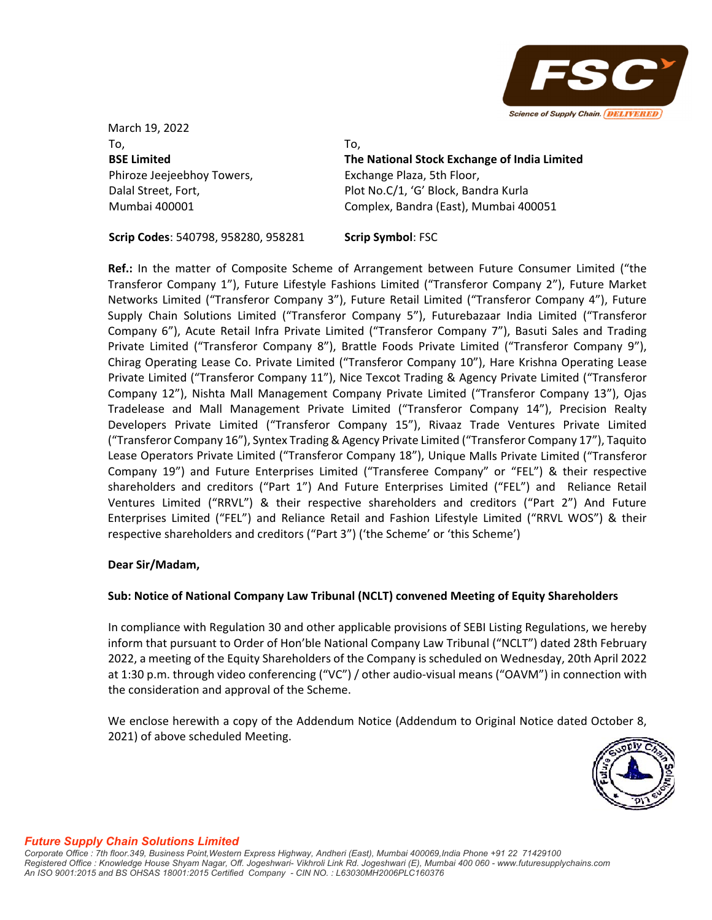

March 19, 2022 To, **BSE Limited** Phiroze Jeejeebhoy Towers, Dalal Street, Fort, Mumbai 400001

To,

**The National Stock Exchange of India Limited** Exchange Plaza, 5th Floor, Plot No.C/1, 'G' Block, Bandra Kurla Complex, Bandra (East), Mumbai 400051

**Scrip Codes**: 540798, 958280, 958281 **Scrip Symbol**: FSC

**Ref.:** In the matter of Composite Scheme of Arrangement between Future Consumer Limited ("the Transferor Company 1"), Future Lifestyle Fashions Limited ("Transferor Company 2"), Future Market Networks Limited ("Transferor Company 3"), Future Retail Limited ("Transferor Company 4"), Future Supply Chain Solutions Limited ("Transferor Company 5"), Futurebazaar India Limited ("Transferor Company 6"), Acute Retail Infra Private Limited ("Transferor Company 7"), Basuti Sales and Trading Private Limited ("Transferor Company 8"), Brattle Foods Private Limited ("Transferor Company 9"), Chirag Operating Lease Co. Private Limited ("Transferor Company 10"), Hare Krishna Operating Lease Private Limited ("Transferor Company 11"), Nice Texcot Trading & Agency Private Limited ("Transferor Company 12"), Nishta Mall Management Company Private Limited ("Transferor Company 13"), Ojas Tradelease and Mall Management Private Limited ("Transferor Company 14"), Precision Realty Developers Private Limited ("Transferor Company 15"), Rivaaz Trade Ventures Private Limited ("Transferor Company 16"), Syntex Trading & Agency Private Limited ("Transferor Company 17"), Taquito Lease Operators Private Limited ("Transferor Company 18"), Unique Malls Private Limited ("Transferor Company 19") and Future Enterprises Limited ("Transferee Company" or "FEL") & their respective shareholders and creditors ("Part 1") And Future Enterprises Limited ("FEL") and Reliance Retail Ventures Limited ("RRVL") & their respective shareholders and creditors ("Part 2") And Future Enterprises Limited ("FEL") and Reliance Retail and Fashion Lifestyle Limited ("RRVL WOS") & their respective shareholders and creditors ("Part 3") ('the Scheme' or 'this Scheme')

## **Dear Sir/Madam,**

## **Sub: Notice of National Company Law Tribunal (NCLT) convened Meeting of Equity Shareholders**

In compliance with Regulation 30 and other applicable provisions of SEBI Listing Regulations, we hereby inform that pursuant to Order of Hon'ble National Company Law Tribunal ("NCLT") dated 28th February 2022, a meeting of the Equity Shareholders of the Company is scheduled on Wednesday, 20th April 2022 at 1:30 p.m. through video conferencing ("VC") / other audio‐visual means ("OAVM") in connection with the consideration and approval of the Scheme.

We enclose herewith a copy of the Addendum Notice (Addendum to Original Notice dated October 8, 2021) of above scheduled Meeting.

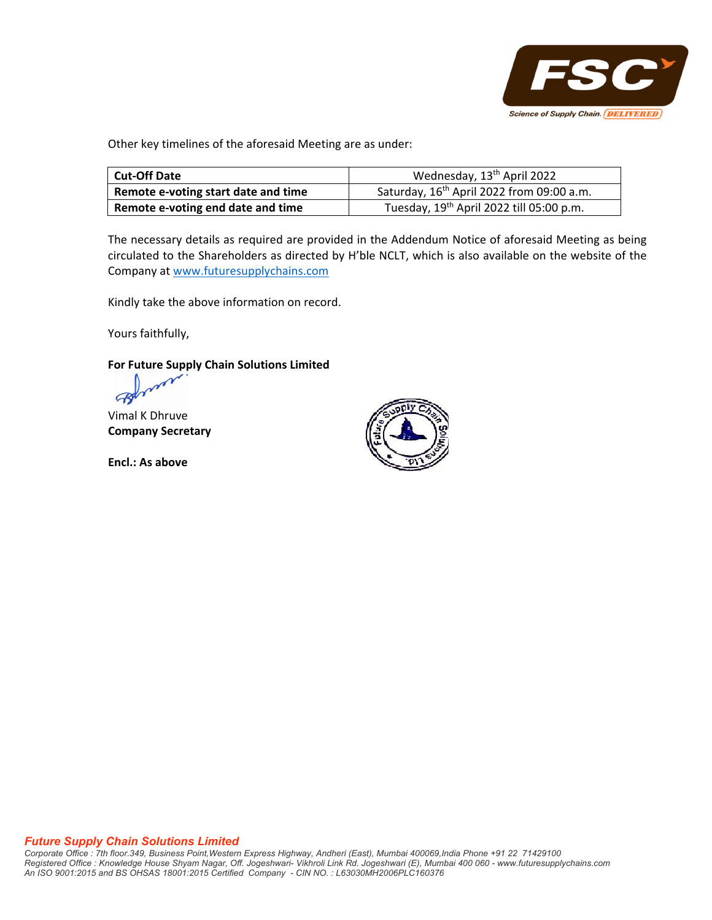

Other key timelines of the aforesaid Meeting are as under:

| <b>Cut-Off Date</b>                 | Wednesday, 13 <sup>th</sup> April 2022                |
|-------------------------------------|-------------------------------------------------------|
| Remote e-voting start date and time | Saturday, 16 <sup>th</sup> April 2022 from 09:00 a.m. |
| Remote e-voting end date and time   | Tuesday, 19 <sup>th</sup> April 2022 till 05:00 p.m.  |

The necessary details as required are provided in the Addendum Notice of aforesaid Meeting as being circulated to the Shareholders as directed by H'ble NCLT, which is also available on the website of the Company at www.futuresupplychains.com

Kindly take the above information on record.

Yours faithfully,

**For Future Supply Chain Solutions Limited**

 $\mathbb{R}$ 

Vimal K Dhruve **Company Secretary**

**Encl.: As above**

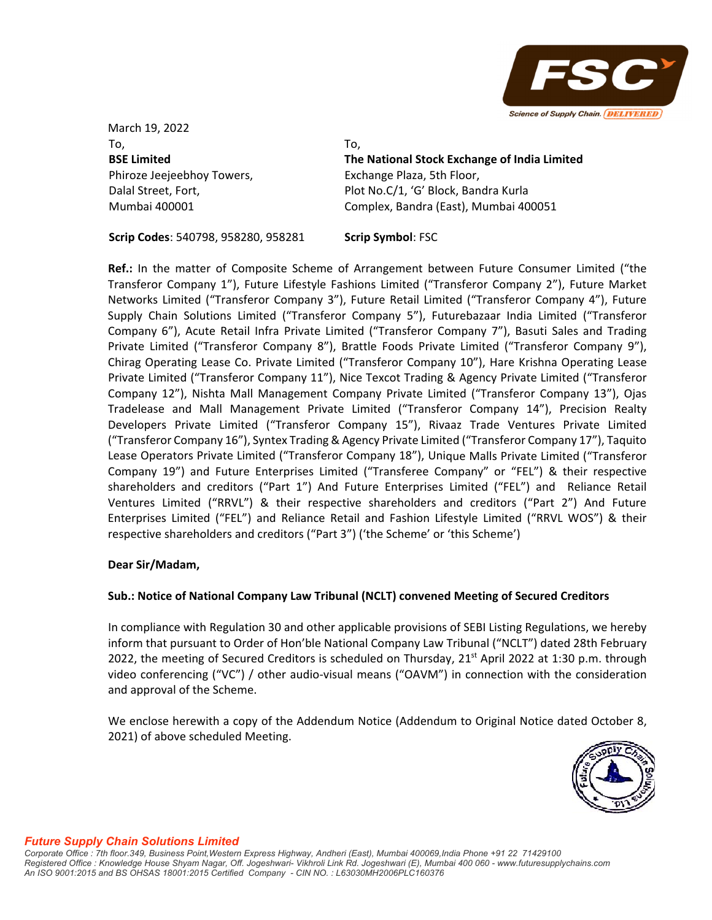

March 19, 2022 To, **BSE Limited** Phiroze Jeejeebhoy Towers, Dalal Street, Fort, Mumbai 400001

To,

**The National Stock Exchange of India Limited** Exchange Plaza, 5th Floor, Plot No.C/1, 'G' Block, Bandra Kurla Complex, Bandra (East), Mumbai 400051

**Scrip Codes**: 540798, 958280, 958281 **Scrip Symbol**: FSC

**Ref.:** In the matter of Composite Scheme of Arrangement between Future Consumer Limited ("the Transferor Company 1"), Future Lifestyle Fashions Limited ("Transferor Company 2"), Future Market Networks Limited ("Transferor Company 3"), Future Retail Limited ("Transferor Company 4"), Future Supply Chain Solutions Limited ("Transferor Company 5"), Futurebazaar India Limited ("Transferor Company 6"), Acute Retail Infra Private Limited ("Transferor Company 7"), Basuti Sales and Trading Private Limited ("Transferor Company 8"), Brattle Foods Private Limited ("Transferor Company 9"), Chirag Operating Lease Co. Private Limited ("Transferor Company 10"), Hare Krishna Operating Lease Private Limited ("Transferor Company 11"), Nice Texcot Trading & Agency Private Limited ("Transferor Company 12"), Nishta Mall Management Company Private Limited ("Transferor Company 13"), Ojas Tradelease and Mall Management Private Limited ("Transferor Company 14"), Precision Realty Developers Private Limited ("Transferor Company 15"), Rivaaz Trade Ventures Private Limited ("Transferor Company 16"), Syntex Trading & Agency Private Limited ("Transferor Company 17"), Taquito Lease Operators Private Limited ("Transferor Company 18"), Unique Malls Private Limited ("Transferor Company 19") and Future Enterprises Limited ("Transferee Company" or "FEL") & their respective shareholders and creditors ("Part 1") And Future Enterprises Limited ("FEL") and Reliance Retail Ventures Limited ("RRVL") & their respective shareholders and creditors ("Part 2") And Future Enterprises Limited ("FEL") and Reliance Retail and Fashion Lifestyle Limited ("RRVL WOS") & their respective shareholders and creditors ("Part 3") ('the Scheme' or 'this Scheme')

## **Dear Sir/Madam,**

## **Sub.: Notice of National Company Law Tribunal (NCLT) convened Meeting of Secured Creditors**

In compliance with Regulation 30 and other applicable provisions of SEBI Listing Regulations, we hereby inform that pursuant to Order of Hon'ble National Company Law Tribunal ("NCLT") dated 28th February 2022, the meeting of Secured Creditors is scheduled on Thursday,  $21<sup>st</sup>$  April 2022 at 1:30 p.m. through video conferencing ("VC") / other audio-visual means ("OAVM") in connection with the consideration and approval of the Scheme.

We enclose herewith a copy of the Addendum Notice (Addendum to Original Notice dated October 8, 2021) of above scheduled Meeting.

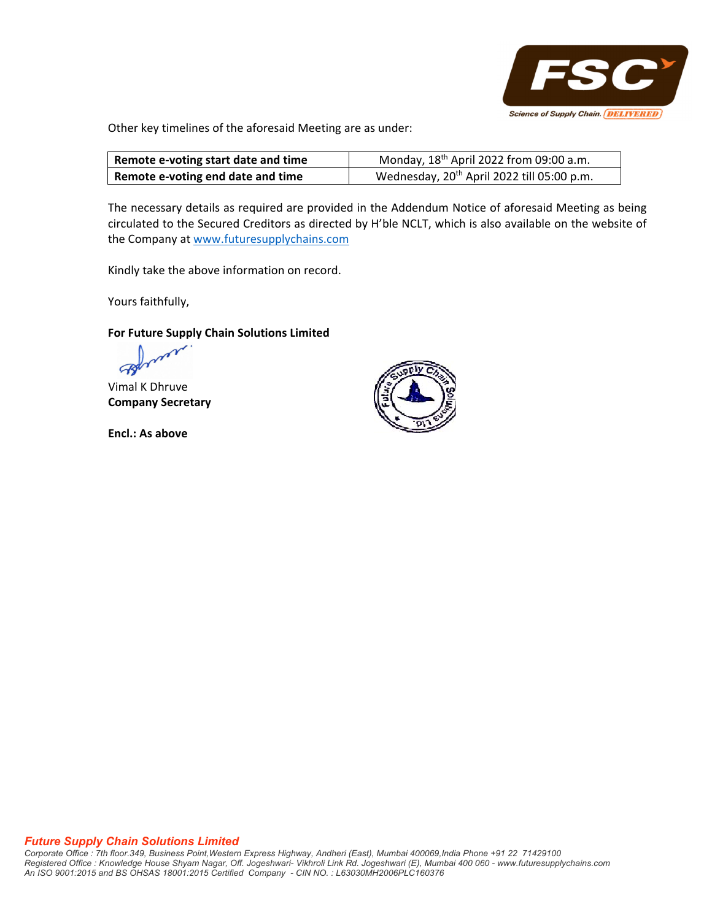

Other key timelines of the aforesaid Meeting are as under:

| Remote e-voting start date and time | Monday, $18th$ April 2022 from 09:00 a.m.              |
|-------------------------------------|--------------------------------------------------------|
| Remote e-voting end date and time   | Wednesday, 20 <sup>th</sup> April 2022 till 05:00 p.m. |

The necessary details as required are provided in the Addendum Notice of aforesaid Meeting as being circulated to the Secured Creditors as directed by H'ble NCLT, which is also available on the website of the Company at www.futuresupplychains.com

Kindly take the above information on record.

Yours faithfully,

### **For Future Supply Chain Solutions Limited**

Vimal K Dhruve **Company Secretary**

**Encl.: As above**

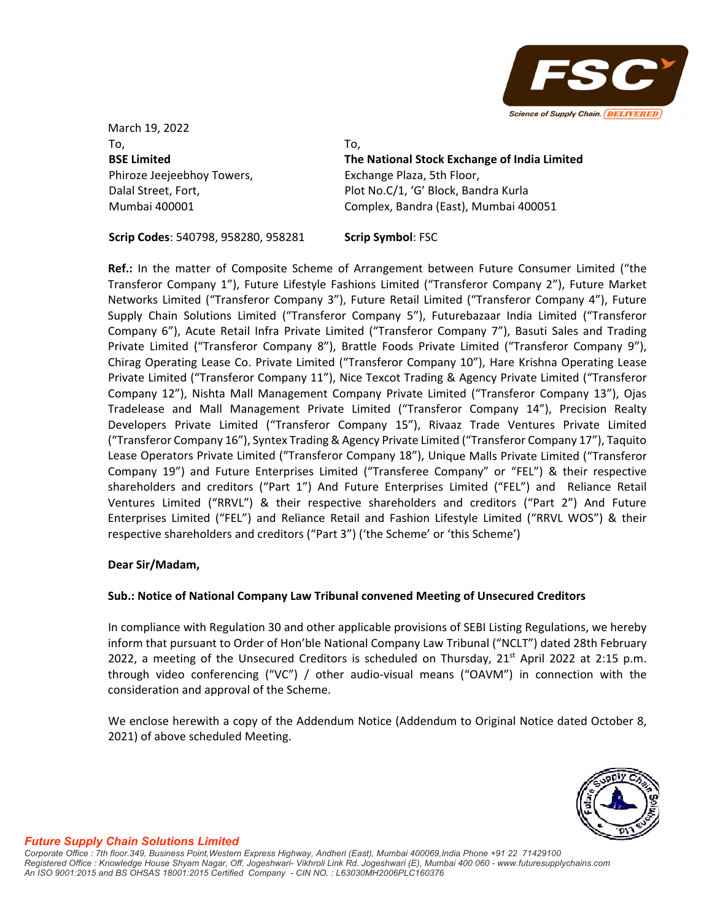

March 19, 2022 To, **BSE Limited** Phiroze Jeejeebhoy Towers, Dalal Street, Fort, Mumbai 400001

To,

**The National Stock Exchange of India Limited** Exchange Plaza, 5th Floor, Plot No.C/1, 'G' Block, Bandra Kurla Complex, Bandra (East), Mumbai 400051

**Scrip Codes**: 540798, 958280, 958281 **Scrip Symbol**: FSC

**Ref.:** In the matter of Composite Scheme of Arrangement between Future Consumer Limited ("the Transferor Company 1"), Future Lifestyle Fashions Limited ("Transferor Company 2"), Future Market Networks Limited ("Transferor Company 3"), Future Retail Limited ("Transferor Company 4"), Future Supply Chain Solutions Limited ("Transferor Company 5"), Futurebazaar India Limited ("Transferor Company 6"), Acute Retail Infra Private Limited ("Transferor Company 7"), Basuti Sales and Trading Private Limited ("Transferor Company 8"), Brattle Foods Private Limited ("Transferor Company 9"), Chirag Operating Lease Co. Private Limited ("Transferor Company 10"), Hare Krishna Operating Lease Private Limited ("Transferor Company 11"), Nice Texcot Trading & Agency Private Limited ("Transferor Company 12"), Nishta Mall Management Company Private Limited ("Transferor Company 13"), Ojas Tradelease and Mall Management Private Limited ("Transferor Company 14"), Precision Realty Developers Private Limited ("Transferor Company 15"), Rivaaz Trade Ventures Private Limited ("Transferor Company 16"), Syntex Trading & Agency Private Limited ("Transferor Company 17"), Taquito Lease Operators Private Limited ("Transferor Company 18"), Unique Malls Private Limited ("Transferor Company 19") and Future Enterprises Limited ("Transferee Company" or "FEL") & their respective shareholders and creditors ("Part 1") And Future Enterprises Limited ("FEL") and Reliance Retail Ventures Limited ("RRVL") & their respective shareholders and creditors ("Part 2") And Future Enterprises Limited ("FEL") and Reliance Retail and Fashion Lifestyle Limited ("RRVL WOS") & their respective shareholders and creditors ("Part 3") ('the Scheme' or 'this Scheme')

## **Dear Sir/Madam,**

## **Sub.: Notice of National Company Law Tribunal convened Meeting of Unsecured Creditors**

In compliance with Regulation 30 and other applicable provisions of SEBI Listing Regulations, we hereby inform that pursuant to Order of Hon'ble National Company Law Tribunal ("NCLT") dated 28th February 2022, a meeting of the Unsecured Creditors is scheduled on Thursday,  $21<sup>st</sup>$  April 2022 at 2:15 p.m. through video conferencing ("VC") / other audio‐visual means ("OAVM") in connection with the consideration and approval of the Scheme.

We enclose herewith a copy of the Addendum Notice (Addendum to Original Notice dated October 8, 2021) of above scheduled Meeting.